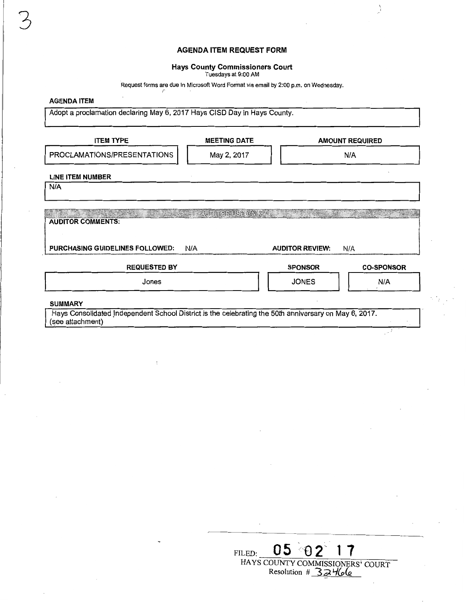# **AGENDA ITEM REQUEST FORM**

 $\left.\rule{0pt}{10pt}\right.$ 

- 2

### **Hays County Commissioners Court**

Tuesdays at 9:00 AM

Request forms are due in Microsoft Word Format via email by 2:00 p.m. on Wednesday. *<sup>r</sup>*

## **AGENDA ITEM**

3

Adopt a proclamation declaring May 6, 2017 Hays CISD Day in Hays County.

| <b>ITEM TYPE</b>                                                                                                                            | <b>MEETING DATE</b> |                                                                                                                                                                                                                                | <b>AMOUNT REQUIRED</b> |  |  |
|---------------------------------------------------------------------------------------------------------------------------------------------|---------------------|--------------------------------------------------------------------------------------------------------------------------------------------------------------------------------------------------------------------------------|------------------------|--|--|
| PROCLAMATIONS/PRESENTATIONS                                                                                                                 | May 2, 2017         | N/A                                                                                                                                                                                                                            |                        |  |  |
| <b>LINE ITEM NUMBER</b><br>N/A                                                                                                              |                     |                                                                                                                                                                                                                                |                        |  |  |
| <u> Manazarta (Manazarta </u><br><b>AUDITOR COMMENTS:</b>                                                                                   | AUDIROR USE ONLYS   | wa shekara wa Marejeo ya Nobel ya Nobel ya Nobel ya Nobel ya Nobel ya Nobel ya Nobel ya Nobel ya Nobel ya Nobel ya Nobel ya Nobel ya Nobel ya Nobel ya Nobel ya Nobel ya Nobel ya Nobel ya Nobel ya Nobel ya Nobel ya Nobel ya |                        |  |  |
| PURCHASING GUIDELINES FOLLOWED:                                                                                                             | N/A                 | <b>AUDITOR REVIEW:</b>                                                                                                                                                                                                         | N/A                    |  |  |
| <b>REQUESTED BY</b>                                                                                                                         |                     | <b>SPONSOR</b>                                                                                                                                                                                                                 | <b>CO-SPONSOR</b>      |  |  |
| Jones                                                                                                                                       |                     | <b>JONES</b>                                                                                                                                                                                                                   | N/A                    |  |  |
| <b>SUMMARY</b><br>Hays Consolidated Independent School District is the celebrating the 50th anniversary on May 6, 2017.<br>(see attachment) |                     |                                                                                                                                                                                                                                |                        |  |  |

| FILED.                                                      |  |  |  |  |  |  |
|-------------------------------------------------------------|--|--|--|--|--|--|
| HAYS COUNTY COMMISSIONERS' COURT<br>32466<br>Resolution $#$ |  |  |  |  |  |  |